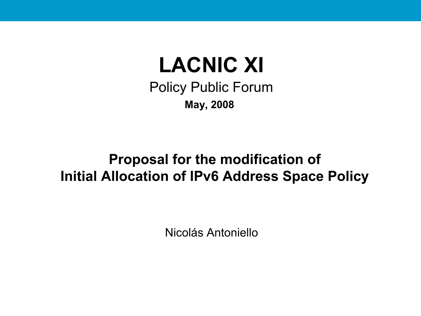## **LACNIC XI**

Policy Public Forum **May, 2008**

### **Proposal for the modification of Initial Allocation of IPv6 Address Space Policy**

Nicolás Antoniello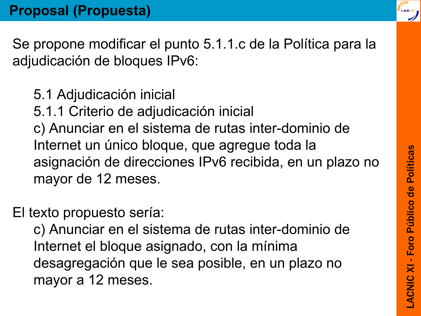Se propone modificar el punto 5.1.1.c de la Política para la adjudicación de bloques IPv6:

- 5.1 Adjudicación inicial
- 5.1.1 Criterio de adjudicación inicial

c) Anunciar en el sistema de rutas inter-dominio de Internet un único bloque, que agregue toda la asignación de direcciones IPv6 recibida, en un plazo no mayor de 12 meses.

El texto propuesto sería:

c) Anunciar en el sistema de rutas inter-dominio de Internet el bloque asignado, con la mínima desagregación que le sea posible, en un plazo no mayor a 12 meses.

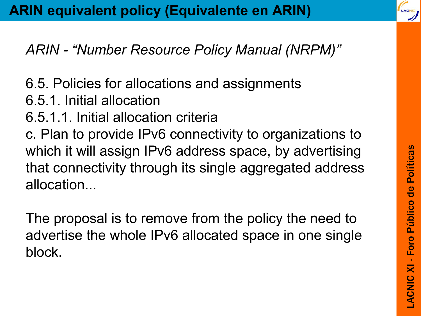### *ARIN - "Number Resource Policy Manual (NRPM)"*

6.5. Policies for allocations and assignments 6.5.1. Initial allocation 6.5.1.1. Initial allocation criteria c. Plan to provide IPv6 connectivity to organizations to which it will assign IPv6 address space, by advertising that connectivity through its single aggregated address allocation...

The proposal is to remove from the policy the need to advertise the whole IPv6 allocated space in one single block.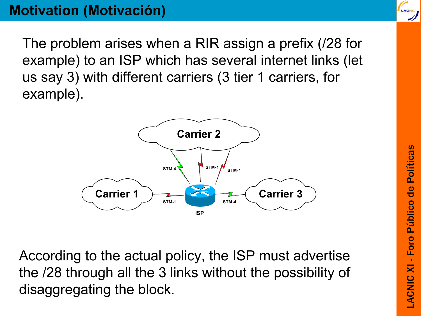#### **Motivation (Motivación)**

The problem arises when a RIR assign a prefix (/28 for example) to an ISP which has several internet links (let us say 3) with different carriers (3 tier 1 carriers, for example).



According to the actual policy, the ISP must advertise the /28 through all the 3 links without the possibility of disaggregating the block.

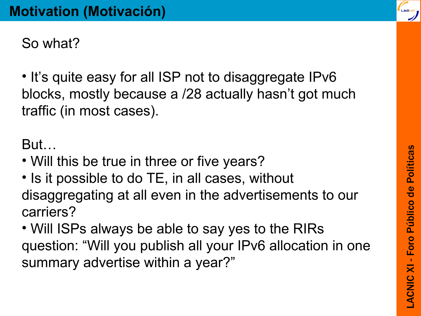So what?

• It's quite easy for all ISP not to disaggregate IPv6 blocks, mostly because a /28 actually hasn't got much traffic (in most cases).

But…

- Will this be true in three or five years?
- Is it possible to do TE, in all cases, without disaggregating at all even in the advertisements to our carriers?
- Will ISPs always be able to say yes to the RIRs question: "Will you publish all your IPv6 allocation in one summary advertise within a year?"

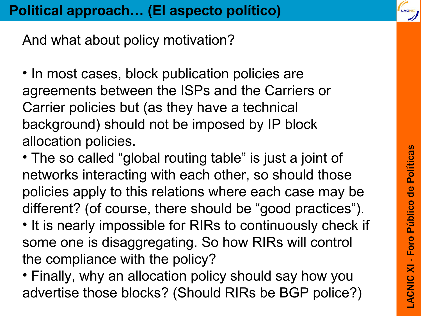And what about policy motivation?

- In most cases, block publication policies are agreements between the ISPs and the Carriers or Carrier policies but (as they have a technical background) should not be imposed by IP block allocation policies.
- The so called "global routing table" is just a joint of networks interacting with each other, so should those policies apply to this relations where each case may be different? (of course, there should be "good practices"). • It is nearly impossible for RIRs to continuously check if some one is disaggregating. So how RIRs will control the compliance with the policy?
- Finally, why an allocation policy should say how you advertise those blocks? (Should RIRs be BGP police?)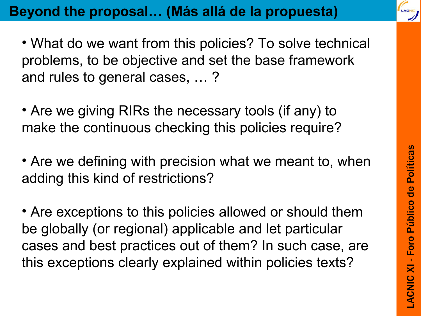

- What do we want from this policies? To solve technical problems, to be objective and set the base framework and rules to general cases, … ?
- Are we giving RIRs the necessary tools (if any) to make the continuous checking this policies require?
- Are we defining with precision what we meant to, when adding this kind of restrictions?
- Are exceptions to this policies allowed or should them be globally (or regional) applicable and let particular cases and best practices out of them? In such case, are this exceptions clearly explained within policies texts?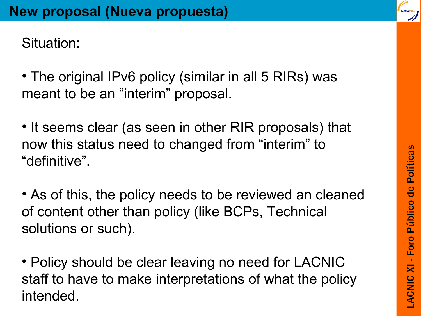Situation:

- The original IPv6 policy (similar in all 5 RIRs) was meant to be an "interim" proposal.
- It seems clear (as seen in other RIR proposals) that now this status need to changed from "interim" to "definitive".
- As of this, the policy needs to be reviewed an cleaned of content other than policy (like BCPs, Technical solutions or such).
- Policy should be clear leaving no need for LACNIC staff to have to make interpretations of what the policy intended.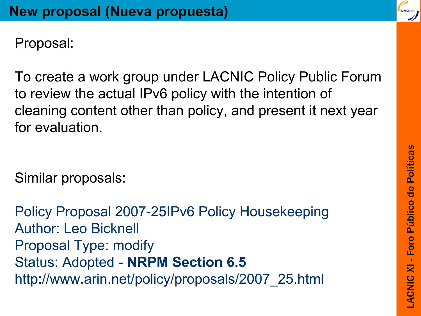Proposal:

To create a work group under LACNIC Policy Public Forum to review the actual IPv6 policy with the intention of cleaning content other than policy, and present it next year for evaluation.

Similar proposals:

Policy Proposal 2007-25IPv6 Policy Housekeeping Author: Leo Bicknell Proposal Type: modify Status: Adopted - **NRPM Section 6.5** http://www.arin.net/policy/proposals/2007\_25.html